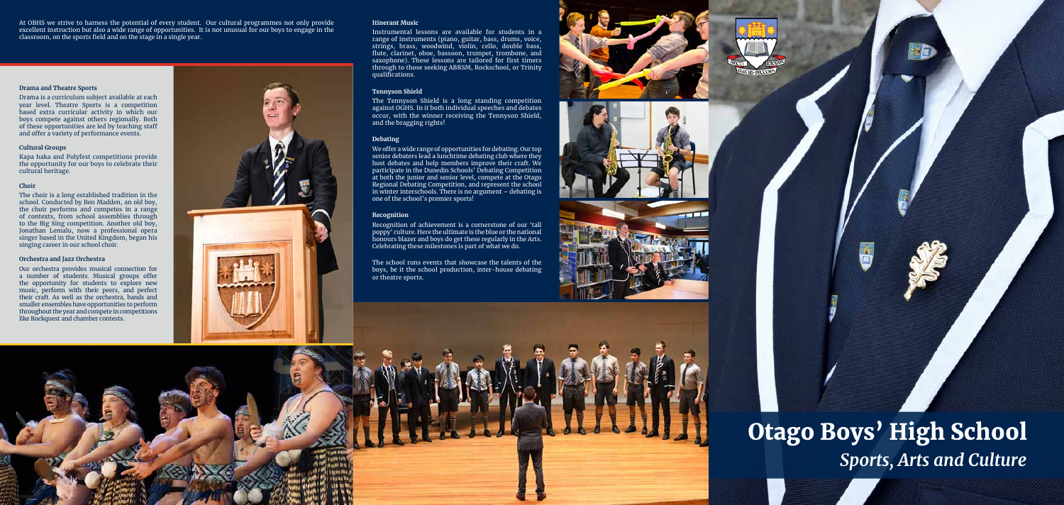**Otago Boys' High School** *Sports, Arts and Culture*

At OBHS we strive to harness the potential of every student. Our cultural programmes not only provide excellent instruction but also a wide range of opportunities. It is not unusual for our boys to engage in the classroom, on the sports field and on the stage in a single year.

### **Drama and Theatre Sports**

Drama is a curriculum subject available at each year level. Theatre Sports is a competition based extra curricular activity in which our boys compete against others regionally. Both of these opportunities are led by teaching staff and offer a variety of performance events.

### **Cultural Groups**

Kapa haka and Polyfest competitions provide the opportunity for our boys to celebrate their cultural heritage.

### **Choir**

The choir is a long established tradition in the school. Conducted by Ben Madden, an old boy, the choir performs and competes in a range of contexts, from school assemblies through to the Big Sing competition. Another old boy, Jonathan Lemalu, now a professional opera singer based in the United Kingdom, began his singing career in our school choir.

### **Orchestra and Jazz Orchestra**

Our orchestra provides musical connection for a number of students. Musical groups offer the opportunity for students to explore new music, perform with their peers, and perfect their craft. As well as the orchestra, bands and smaller ensembles have opportunities to perform throughout the year and compete in competitions like Rockquest and chamber contests.



### **Itinerant Music**

Instrumental lessons are available for students in a range of instruments (piano, guitar, bass, drums, voice, strings of motivances (panel) solin, cello, double bass, flute, clarinet, oboe, bassoon, trumpet, trombone, and saxophone). These lessons are tailored for first timers through to those seeking ABRSM, Rockschool, or Trinity qualifications.

### **Tennyson Shield**

The Tennyson Shield is a long standing competition against OGHS. In it both individual speeches and debates occur, with the winner receiving the Tennyson Shield, and the bragging rights!

### **Debating**

We offer a wide range of opportunities for debating. Our top senior debaters lead a lunchtime debating club where they host debates and help members improve their craft. We participate in the Dunedin Schools' Debating Competition at both the junior and senior level, compete at the Otago Regional Debating Competition, and represent the school in winter interschools. There is no argument – debating is one of the school's premier sports!

#### **Recognition**

Recognition of achievement is a cornerstone of our 'tall poppy' culture. Here the ultimate is the blue or the national honours blazer and boys do get these regularly in the Arts. Celebrating these milestones is part of what we do.

The school runs events that showcase the talents of the boys, be it the school production, inter-house debating or theatre sports.